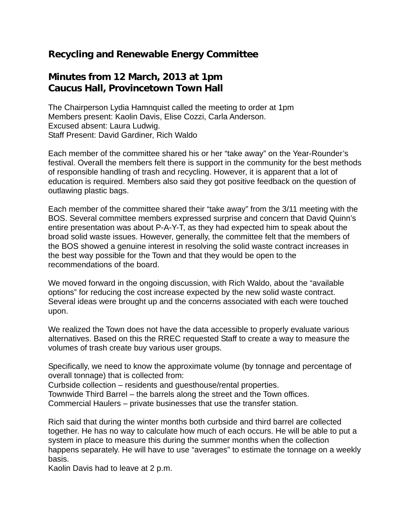## **Recycling and Renewable Energy Committee**

## **Minutes from 12 March, 2013 at 1pm Caucus Hall, Provincetown Town Hall**

The Chairperson Lydia Hamnquist called the meeting to order at 1pm Members present: Kaolin Davis, Elise Cozzi, Carla Anderson. Excused absent: Laura Ludwig. Staff Present: David Gardiner, Rich Waldo

Each member of the committee shared his or her "take away" on the Year-Rounder's festival. Overall the members felt there is support in the community for the best methods of responsible handling of trash and recycling. However, it is apparent that a lot of education is required. Members also said they got positive feedback on the question of outlawing plastic bags.

Each member of the committee shared their "take away" from the 3/11 meeting with the BOS. Several committee members expressed surprise and concern that David Quinn's entire presentation was about P-A-Y-T, as they had expected him to speak about the broad solid waste issues. However, generally, the committee felt that the members of the BOS showed a genuine interest in resolving the solid waste contract increases in the best way possible for the Town and that they would be open to the recommendations of the board.

We moved forward in the ongoing discussion, with Rich Waldo, about the "available options" for reducing the cost increase expected by the new solid waste contract. Several ideas were brought up and the concerns associated with each were touched upon.

We realized the Town does not have the data accessible to properly evaluate various alternatives. Based on this the RREC requested Staff to create a way to measure the volumes of trash create buy various user groups.

Specifically, we need to know the approximate volume (by tonnage and percentage of overall tonnage) that is collected from:

Curbside collection – residents and guesthouse/rental properties.

Townwide Third Barrel – the barrels along the street and the Town offices.

Commercial Haulers – private businesses that use the transfer station.

Rich said that during the winter months both curbside and third barrel are collected together. He has no way to calculate how much of each occurs. He will be able to put a system in place to measure this during the summer months when the collection happens separately. He will have to use "averages" to estimate the tonnage on a weekly basis.

Kaolin Davis had to leave at 2 p.m.